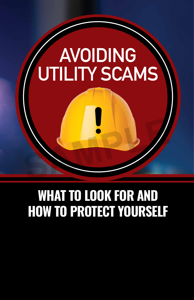# **AVOIDING UTILITY SCAMS**

## WHAT TO LOOK FOR AND HOW TO PROTECT YOURSELF

**SAMPLE**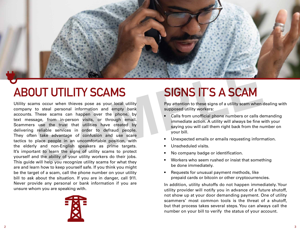

# **ABOUT UTILITY SCAMS**

Utility scams occur when thieves pose as your local utility company to steal personal information and empty bank accounts. These scams can happen over the phone, by text message, from in-person visits, or through email. Scammers use the trust that utilities have created by delivering reliable services in order to defraud people. They often take advantage of confusion and use scare tactics to place people in an uncomfortable position, with the elderly and non-English speakers as prime targets. It's important to learn the signs of utility scams to protect yourself and the ability of your utility workers do their jobs. This guide will help you recognize utility scams for what they are and learn how to keep yourself safe. If you think you might be the target of a scam, call the phone number on your utility bill to ask about the situation. If you are in danger, call 911. Never provide any personal or bank information if you are unsure whom you are speaking with. **SIGNS IT'S A SCAM**<br>
INTERNATION SOCIETY SOCIETY SOCIETY SOCIETY SOCIETY IS A SCAMPUS TO A SCAMPUS TO A SCAMPUS TO A SCAMPUS TO A SCAMPUS THESE SCARPUS THESE SCARPUS THESE SCARPUS THESE SCARPUS THESE SCARPUS THESE SCARPUS



# **SIGNS IT'S A SCAM**

Pay attention to these signs of a utility scam when dealing with supposed utility workers:

- Calls from unofficial phone numbers or calls demanding immediate action. A utility will always be fine with your saying you will call them right back from the number on your bill.
- Unexpected emails or emails requesting information.
- Unscheduled visits.
- No company badge or identification.
- Workers who seem rushed or insist that something be done immediately.
- Requests for unusual payment methods, like prepaid cards or bitcoin or other cryptocurrencies.

In addition, utility shutoffs do not happen immediately. Your utility provider will notify you in advance of a future shutoff, not show up at your door demanding payment. One of utility scammers' most common tools is the threat of a shutoff, but that process takes several steps. You can always call the number on your bill to verify the status of your account.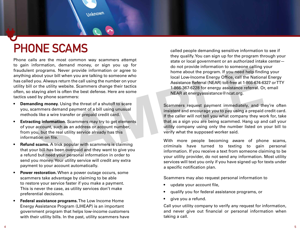

Phone calls are the most common way scammers attempt to gain information, demand money, or sign you up for fraudulent programs. Never provide information or agree to anything about your bill when you are talking to someone who has called you. Always return the call using the number on your utility bill or the utility website. Scammers change their tactics often, so staying alert is often the best defense. Here are some tactics used by phone scammers: **Example 19 and 19 and 19 and 19 and 19 and 19 and 19 and 19 and 19 and 19 and 19 and 19 and 19 and 19 and 19 and 19 and 19 and 19 and 19 and 19 and 19 and 19 and 19 and 19 and 19 and 19 and 19 and 19 and 19 and 19 and 19** 

**Unknown** 

- **Demanding money.** Using the threat of a shutoff to scare you, scammers demand payment of a bill using unusual methods like a wire transfer or prepaid credit card.
- **Extracting information.** Scammers may try to get elements of your account, such as an address or account number, from you, but the real utility service already has this information on file.
- **Refund scams.** A trick popular with scammers is claiming that your bill has been overpaid and they want to give you a refund but need your personal information in order to send you money. Your utility service will credit any extra payment to your account automatically.
- **Power restoration.** When a power outage occurs, some scammers take advantage by claiming to be able to restore your service faster if you make a payment. This is never the case, as utility services don't make preferential decisions.
- **Federal assistance programs.** The Low Income Home Energy Assistance Program (LIHEAP) is an important government program that helps low-income customers with their utility bills. In the past, utility scammers have

called people demanding sensitive information to see if they qualify. You can sign up for the program through your state or local government or an authorized intake center do not provide information to someone calling your home about the program. If you need help finding your local Low-Income Energy Office, call the National Energy Assistance Referral (NEAR) toll-free at 1-866-674-6327 or TTY 1-866-367-6228 for energy assistance referral. Or, email NEAR at energyassistance@ncat.org.

Scammers request payment immediately, and they're often insistent and encourage you to pay using a prepaid credit card. If the caller will not tell you what company they work for, take that as a sign you are being scammed. Hang up and call your utility company using only the number listed on your bill to verify what the supposed worker said.

With more people becoming aware of phone scams, criminals have turned to texting to gain personal information. If you receive a text from someone claiming to be your utility provider, do not send any information. Most utility services will text you only if you have signed up for texts under a specific notification plan.

Scammers may also request personal information to

- update your account file,
- qualify you for federal assistance programs, or
- give you a refund.

Call your utility company to verify any request for information, and never give out financial or personal information when taking a call.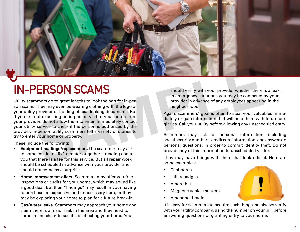

# **IN-PERSON SCAMS**

Utility scammers go to great lengths to look the part for in-person scams. They may even be wearing clothing with the logo of your utility provider or holding official-looking documents. But if you are not expecting an in-person visit to your home from your provider, do not allow them to enter. Immediately contact your utility service to check if the person is authorized by the provider. In-person utility scammers tell a variety of stories to try to enter your home or property. **SERIMENT AND SERVE AND SERVE AND SERVE AND SPECIES AND SPECIES SOLUTION SCAMPLE SOLUTION SCAMPLE SUBMARY SHOWS THE SERIES AND SHOW AND THE SUBMARY SUBMARY SUBMARY SUBMARY SUBMARY SUBMARY SUBMARY SUBMARY SUBMARY SUBMARY SU** 

These include the following:

- **Equipment readings/replacement.** The scammer may ask to come inside to "fix" a meter or gather a reading and tell you that there is a fee for this service. But all repair work should be scheduled in advance with your provider and should not come as a surprise.
- **Home improvement offers.** Scammers may offer you free inspections or audits for your home, which may sound like a good deal. But their "findings" may result in your having to purchase an expensive and unnecessary item, or they may be exploring your home to plan for a future break-in.
- **Gas/water leaks.** Scammers may approach your home and claim there is a major leak in the area and they need to come in and check to see if it is affecting your home. You

should verify with your provider whether there is a leak. In emergency situations you may be contacted by your provider in advance of any employees appearing in the neighborhood.

Again, scammers' goal is often to steal your valuables immediately or gain information that will help them with future burglaries. Call your utility before allowing any unscheduled entry.

Scammers may ask for personal information, including social security numbers, credit card information, and answers to personal questions, in order to commit identity theft. Do not provide any of this information to unscheduled visitors.

They may have things with them that look official. Here are some examples:

- **Clipboards**
- Utility badges
- A hard hat
- Magnetic vehicle stickers
- A handheld radio

It is easy for scammers to acquire such things, so always verify with your utility company, using the number on your bill, before answering questions or granting entry to your home.

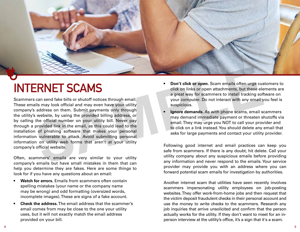

# **INTERNET SCAMS**

Scammers can send fake bills or shutoff notices through email. These emails may look official and may even have your utility company's address on them. Submit payments only through the utility's website, by using the provided billing address, or by calling the official number on your utility bill. Never pay through a provided link in the email, as this could lead to the installation of phishing software that makes your personal information vulnerable to attack. Avoid submitting personal information on utility web forms that aren't at your utility company's official website. **SERIMET SCAMS**<br>
SERIMET SCAMS<br>
SURVER SAMPLE SAMPLE SAMPLE SAMPLE SAMPLE SAMPLE SAMPLE SAMPLE SAMPLE SAMPLE SAMPLE SAMPLE AND SURVER TO A THANGE THANGE THANGE THANGE THANGE THANGE THANGE THANGE THANGE THANGE THANGE THANGE

Often, scammers' emails are very similar to your utility company's emails but have small mistakes in them that can help you determine they are fakes. Here are some things to look for if you have any questions about an email:

- **Watch for errors.** Emails from scammers often contain spelling mistakes (your name or the company name may be wrong) and odd formatting (oversized words, incomplete images). These are signs of a fake account.
- **Check the address.** The email address that the scammer's email comes from may be close to the one your utility uses, but it will not exactly match the email address provided on your bill.
- **Don't click or open.** Scam emails often urge customers to click on links or open attachments, but these elements are a great way for scammers to install tracking software on your computer. Do not interact with any email you feel is suspicious.
- **Ignore demands.** As with phone scams, email scammers may demand immediate payment or threaten shutoffs via email. They may urge you NOT to call your provider and to click on a link instead. You should delete any email that asks for large payments and contact your utility provider.

Following good internet and email practices can keep you safe from scammers. If there is any doubt, hit delete. Call your utility company about any suspicious emails before providing any information and never respond to the emails. Your service provider may provide you with an address where you can forward potential scam emails for investigation by authorities.

Another internet scam that utilities have seen recently involves scammers impersonating utility employees on job-posting websites. They offer work-from-home jobs and then request that the victim deposit fraudulent checks in their personal account and use the money to write checks to the scammers. Research any job inquiries that arrive unsolicited and confirm that the person actually works for the utility. If they don't want to meet for an inperson interview at the utility's office, it's a sign that it's a scam.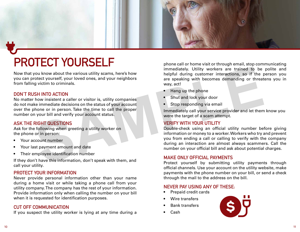

# **PROTECT YOURSELF**

Now that you know about the various utility scams, here's how you can protect yourself, your loved ones, and your neighbors from falling victim to criminals.

#### **DON'T RUSH INTO ACTION**

No matter how insistent a caller or visitor is, utility companies do not make immediate decisions on the status of your account over the phone or in person. Take the time to call the proper number on your bill and verify your account status.

#### **ASK THE RIGHT QUESTIONS**

Ask for the following when greeting a utility worker on the phone or in person:

- Your account number
- Your last payment amount and date
- Their employee identification number

If they don't have this information, don't speak with them, and call your utility.

#### **PROTECT YOUR INFORMATION**

Never provide personal information other than your name during a home visit or while taking a phone call from your utility company. The company has the rest of your information. Provide information only when calling the number on your bill when it is requested for identification purposes.

#### **CUT OFF COMMUNICATION**

If you suspect the utility worker is lying at any time during a

phone call or home visit or through email, stop communicating immediately. Utility workers are trained to be polite and helpful during customer interactions, so if the person you are speaking with becomes demanding or threatens you in way, act!

- Hang up the phone
- Shut and lock your door
- Stop responding via email

Immediately call your service provider and let them know you were the target of a scam attempt.

### **VERIFY WITH YOUR UTILITY**

Double-check using an official utility number before giving information or money to a worker. Workers who try and prevent you from ending a call or calling to verify with the company during an interaction are almost always scammers. Call the number on your official bill and ask about potential charges. From ediate to the value of the transition of the sealing current and the text of the sealing current interactions, so if the properties of the properties of the properties of the sealing of threat the sealing of the seali

#### **MAKE ONLY OFFICIAL PAYMENTS**

Protect yourself by submitting utility payments through official channels. Use your account on the utility website, make payments with the phone number on your bill, or send a check through the mail to the address on the bill.

#### **NEVER PAY USING ANY OF THESE:**

- Prepaid credit cards
- Wire transfers
- Bank transfers
- Cash

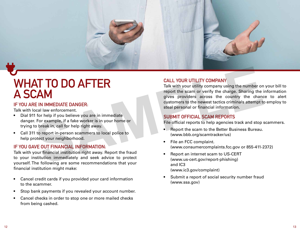

## **WHAT TO DO AFTER A SCAM**

#### **IF YOU ARE IN IMMEDIATE DANGER:**

Talk with local law enforcement.

- Dial 911 for help if you believe you are in immediate danger. For example, if a fake worker is in your home or trying to break in, call for help right away.
- Call 311 to report in-person scammers to local police to help protect your neighborhood.

### **IF YOU GAVE OUT FINANCIAL INFORMATION:**

Talk with your financial institution right away. Report the fraud to your institution immediately and seek advice to protect yourself. The following are some recommendations that your financial institution might make:

- Cancel credit cards if you provided your card information to the scammer.
- Stop bank payments if you revealed your account number.
- Cancel checks in order to stop one or more mailed checks from being cashed.

### **CALL YOUR UTILITY COMPANY**

Talk with your utility company using the number on your bill to report the scam or verify the charge. Sharing the information gives providers across the country the chance to alert customers to the newest tactics criminals attempt to employ to steal personal or financial information. **SAMPLE DANGER**<br>
SAMPLE DANGER:<br>
SAMPLE DANGER:<br>
SAMPLE DANGER:<br>
SAMPLE DANGER:<br>
SAMPLE DANGER:<br>
SAMPLE DANGER:<br>
SAMPLE DANGER:<br>
SAMPLE DANGER:<br>
SAMPLE DANGER:<br>
SAMPLE DANGER:<br>
SAMPLE DANGER:<br>
SAMPLE DANGER:<br>
SAMPLE DANGER

### **SUBMIT OFFICIAL SCAM REPORTS**

File official reports to help agencies track and stop scammers.

- Report the scam to the Better Business Bureau. (www.bbb.org/scamtracker/us)
- File an FCC complaint. (www.consumercomplaints.fcc.gov or 855-411-2372)
- Report an internet scam to US-CERT (www.us-cert.gov/report-phishing) and IC3 (www.ic3.gov/complaint)
- Submit a report of social security number fraud (www.ssa.gov)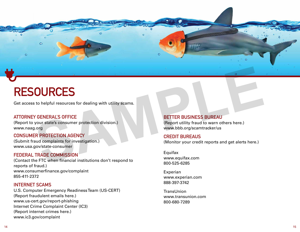

# **RESOURCES**

Get access to helpful resources for dealing with utility scams.

### **ATTORNEY GENERAL'S OFFICE**

(Report to your state's consumer protection division.) www.naag.org

#### **CONSUMER PROTECTION AGENCY**

(Submit fraud complaints for investigation.) www.usa.gov/state-consumer

#### **FEDERAL TRADE COMMISSION**

(Contact the FTC when financial institutions don't respond to reports of fraud.) www.consumerfinance.gov/complaint 855-411-2372

#### **INTERNET SCAMS**

U.S. Computer Emergency Readiness Team (US-CERT) (Report fraudulent emails here.) www.us-cert.gov/report-phishing Internet Crime Complaint Center (IC3) (Report internet crimes here.) www.ic3.gov/complaint

**BETTER BUSINESS BUREAU** (Report utility fraud to warn others here.) www.bbb.org/scamtracker/us

#### **CREDIT BUREAUS**

(Monitor your credit reports and get alerts here.)

Equifax www.equifax.com 800-525-6285

Experian www.experian.com 888-397-3742

**TransUnion** www.transunion.com 800-680-7289